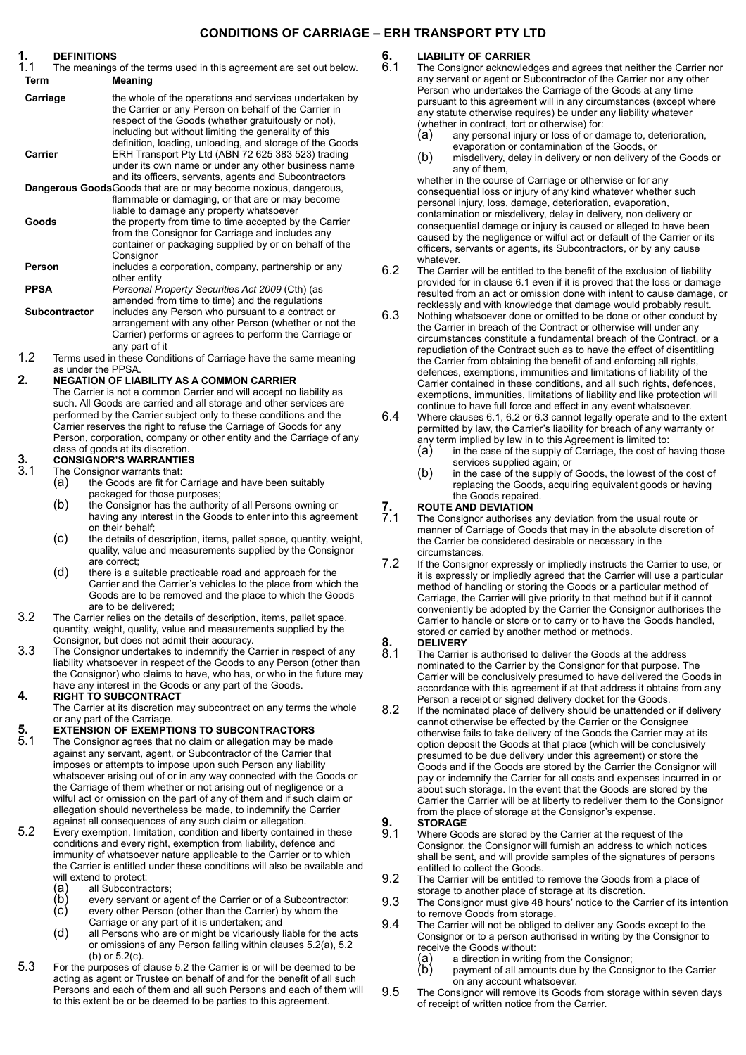### **CONDITIONS OF CARRIAGE – ERH TRANSPORT PTY LTD**

**1. DEFINITIONS** The meanings of the terms used in this agreement are set out below. **Term Meaning**

- **Carriage** the whole of the operations and services undertaken by the Carrier or any Person on behalf of the Carrier in respect of the Goods (whether gratuitously or not), including but without limiting the generality of this definition, loading, unloading, and storage of the Goods **Carrier** ERH Transport Pty Ltd (ABN 72 625 383 523) trading under its own name or under any other business name and its officers, servants, agents and Subcontractors **Dangerous Goods**Goods that are or may become noxious, dangerous, flammable or damaging, or that are or may become liable to damage any property whatsoever **Goods** the property from time to time accepted by the Carrier from the Consignor for Carriage and includes any container or packaging supplied by or on behalf of the **Consignor**
- **Person** includes a corporation, company, partnership or any other entity **PPSA** *Personal Property Securities Act 2009* (Cth) (as
- amended from time to time) and the regulations **Subcontractor** includes any Person who pursuant to a contract or arrangement with any other Person (whether or not the Carrier) performs or agrees to perform the Carriage or any part of it
- 1.2 Terms used in these Conditions of Carriage have the same meaning as under the PPSA.

#### **2. NEGATION OF LIABILITY AS A COMMON CARRIER**

The Carrier is not a common Carrier and will accept no liability as such. All Goods are carried and all storage and other services are performed by the Carrier subject only to these conditions and the Carrier reserves the right to refuse the Carriage of Goods for any Person, corporation, company or other entity and the Carriage of any class of goods at its discretion.

# **3. CONSIGNOR'S WARRANTIES**<br>3.1 The Consignor warrants that:

- The Consignor warrants that:<br>(a) the Goods are fit for (
	- the Goods are fit for Carriage and have been suitably packaged for those purposes;
	- (b) the Consignor has the authority of all Persons owning or having any interest in the Goods to enter into this agreement on their behalf;
	- (c) the details of description, items, pallet space, quantity, weight, quality, value and measurements supplied by the Consignor are correct;
	- (d) there is a suitable practicable road and approach for the Carrier and the Carrier's vehicles to the place from which the Goods are to be removed and the place to which the Goods are to be delivered;
- 3.2 The Carrier relies on the details of description, items, pallet space, quantity, weight, quality, value and measurements supplied by the Consignor, but does not admit their accuracy.
- 3.3 The Consignor undertakes to indemnify the Carrier in respect of any liability whatsoever in respect of the Goods to any Person (other than the Consignor) who claims to have, who has, or who in the future may have any interest in the Goods or any part of the Goods.

#### **4. RIGHT TO SUBCONTRACT**

The Carrier at its discretion may subcontract on any terms the whole or any part of the Carriage.

# **5. EXTENSION OF EXEMPTIONS TO SUBCONTRACTORS**<br>**5.1** The Consignor agrees that no claim or allegation may be m

- The Consignor agrees that no claim or allegation may be made against any servant, agent, or Subcontractor of the Carrier that imposes or attempts to impose upon such Person any liability whatsoever arising out of or in any way connected with the Goods or the Carriage of them whether or not arising out of negligence or a wilful act or omission on the part of any of them and if such claim or allegation should nevertheless be made, to indemnify the Carrier against all consequences of any such claim or allegation.
- <span id="page-0-3"></span><span id="page-0-0"></span>5.2 Every exemption, limitation, condition and liberty contained in these conditions and every right, exemption from liability, defence and immunity of whatsoever nature applicable to the Carrier or to which the Carrier is entitled under these conditions will also be available and
	- all Subcontractors;
	- will extend to protect:<br>
	(a) all Subcontra<br>
	(b) every servant<br>
	(c) every other P every servant or agent of the Carrier or of a Subcontractor;
	- every other Person (other than the Carrier) by whom the Carriage or any part of it is undertaken; and
	- (d) all Persons who are or might be vicariously liable for the acts or omissions of any Person falling within clauses [5.2\(a\),](#page-0-0) [5.2](#page-0-1) [\(b\)](#page-0-1) or [5.2\(c\).](#page-0-2)
- <span id="page-0-2"></span><span id="page-0-1"></span>5.3 For the purposes of clause [5.2](#page-0-3) the Carrier is or will be deemed to be acting as agent or Trustee on behalf of and for the benefit of all such Persons and each of them and all such Persons and each of them will to this extent be or be deemed to be parties to this agreement.

# **6. LIABILITY OF CARRIER**

<span id="page-0-4"></span>The Consignor acknowledges and agrees that neither the Carrier nor any servant or agent or Subcontractor of the Carrier nor any other Person who undertakes the Carriage of the Goods at any time pursuant to this agreement will in any circumstances (except where any statute otherwise requires) be under any liability whatever (whether in contract, tort or otherwise) for:

- (a) any personal injury or loss of or damage to, deterioration, evaporation or contamination of the Goods, or
- (b) misdelivery, delay in delivery or non delivery of the Goods or any of them,

whether in the course of Carriage or otherwise or for any consequential loss or injury of any kind whatever whether such personal injury, loss, damage, deterioration, evaporation, contamination or misdelivery, delay in delivery, non delivery or consequential damage or injury is caused or alleged to have been caused by the negligence or wilful act or default of the Carrier or its officers, servants or agents, its Subcontractors, or by any cause whatever.

- <span id="page-0-5"></span>6.2 The Carrier will be entitled to the benefit of the exclusion of liability provided for in clause [6.1](#page-0-4) even if it is proved that the loss or damage resulted from an act or omission done with intent to cause damage, or recklessly and with knowledge that damage would probably result.
- <span id="page-0-6"></span>6.3 Nothing whatsoever done or omitted to be done or other conduct by the Carrier in breach of the Contract or otherwise will under any circumstances constitute a fundamental breach of the Contract, or a repudiation of the Contract such as to have the effect of disentitling the Carrier from obtaining the benefit of and enforcing all rights, defences, exemptions, immunities and limitations of liability of the Carrier contained in these conditions, and all such rights, defences, exemptions, immunities, limitations of liability and like protection will continue to have full force and effect in any event whatsoever.
- 6.4 Where clauses 6.1, [6.2](#page-0-5) or [6.3](#page-0-6) cannot legally operate and to the extent permitted by law, the Carrier's liability for breach of any warranty or any term implied by law in to this Agreement is limited to:<br>(a) in the case of the supply of Carriage, the cost of l
	- in the case of the supply of Carriage, the cost of having those services supplied again; or
	- (b) in the case of the supply of Goods, the lowest of the cost of replacing the Goods, acquiring equivalent goods or having the Goods repaired.

### **7. ROUTE AND DEVIATION**

- The Consignor authorises any deviation from the usual route or manner of Carriage of Goods that may in the absolute discretion of the Carrier be considered desirable or necessary in the circumstances.
- 7.2 If the Consignor expressly or impliedly instructs the Carrier to use, or it is expressly or impliedly agreed that the Carrier will use a particular method of handling or storing the Goods or a particular method of Carriage, the Carrier will give priority to that method but if it cannot conveniently be adopted by the Carrier the Consignor authorises the Carrier to handle or store or to carry or to have the Goods handled, stored or carried by another method or methods.

# **8. DELIVERY**

- The Carrier is authorised to deliver the Goods at the address nominated to the Carrier by the Consignor for that purpose. The Carrier will be conclusively presumed to have delivered the Goods in accordance with this agreement if at that address it obtains from any Person a receipt or signed delivery docket for the Goods.
- 8.2 If the nominated place of delivery should be unattended or if delivery cannot otherwise be effected by the Carrier or the Consignee otherwise fails to take delivery of the Goods the Carrier may at its option deposit the Goods at that place (which will be conclusively presumed to be due delivery under this agreement) or store the Goods and if the Goods are stored by the Carrier the Consignor will pay or indemnify the Carrier for all costs and expenses incurred in or about such storage. In the event that the Goods are stored by the Carrier the Carrier will be at liberty to redeliver them to the Consignor from the place of storage at the Consignor's expense.

# 9. **STORAGE**<br>9.1 Where Goo

- Where Goods are stored by the Carrier at the request of the Consignor, the Consignor will furnish an address to which notices shall be sent, and will provide samples of the signatures of persons entitled to collect the Goods.
- 9.2 The Carrier will be entitled to remove the Goods from a place of storage to another place of storage at its discretion.
- 9.3 The Consignor must give 48 hours' notice to the Carrier of its intention to remove Goods from storage.
- 9.4 The Carrier will not be obliged to deliver any Goods except to the Consignor or to a person authorised in writing by the Consignor to
	- receive the Goods without:<br>
	(a) a direction in writing<br>
	(b) payment of all amo a direction in writing from the Consignor;
	- payment of all amounts due by the Consignor to the Carrier on any account whatsoever.
- 9.5 The Consignor will remove its Goods from storage within seven days of receipt of written notice from the Carrier.